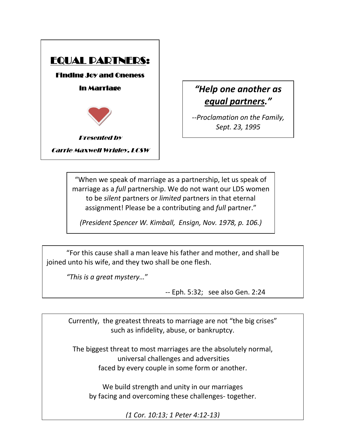

*"Help one another as equal partners."*

*--Proclamation on the Family, Sept. 23, 1995*

*--Proclamation on the Family,*  to be *silent* partners or *limited* partners in that eternal *Sept. 23, 1995* assignment! Please be a contributing and *full* partner." "When we speak of marriage as a partnership, let us speak of marriage as a *full* partnership. We do not want our LDS women

*(President Spencer W. Kimball, Ensign, Nov. 1978, p. 106.)*

"For this cause shall a man leave his father and mother, and shall be joined unto his wife, and they two shall be one flesh.

*"This is a great mystery…*"

-- Eph. 5:32; see also Gen. 2:24

Currently, the greatest threats to marriage are not "the big crises" such as infidelity, abuse, or bankruptcy.

The biggest threat to most marriages are the absolutely normal, universal challenges and adversities faced by every couple in some form or another.

We build strength and unity in our marriages by facing and overcoming these challenges- together.

*(1 Cor. 10:13; 1 Peter 4:12-13)*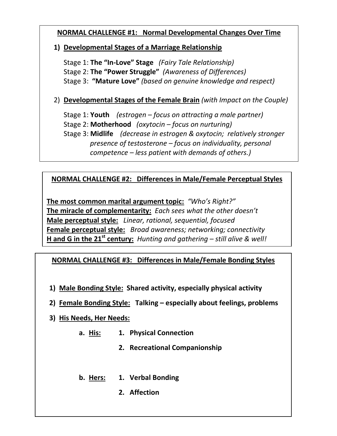#### **NORMAL CHALLENGE #1: Normal Developmental Changes Over Time**

#### **1) Developmental Stages of a Marriage Relationship**

Stage 1: **The "In-Love" Stage** *(Fairy Tale Relationship)* Stage 2: **The "Power Struggle"** *(Awareness of Differences)* Stage 3: **"Mature Love"** *(based on genuine knowledge and respect)*

2) **Developmental Stages of the Female Brain** *(with Impact on the Couple)*

Stage 1: **Youth** *(estrogen – focus on attracting a male partner)* Stage 2: **Motherhood** *(oxytocin – focus on nurturing)* Stage 3: **Midlife** *(decrease in estrogen & oxytocin; relatively stronger presence of testosterone – focus on individuality, personal competence – less patient with demands of others.)*

#### **NORMAL CHALLENGE #2: Differences in Male/Female Perceptual Styles**

**The most common marital argument topic:** *"Who's Right?"* **The miracle of complementarity:** *Each sees what the other doesn't* **Male perceptual style:** *Linear, rational, sequential, focused* **Female perceptual style:** *Broad awareness; networking; connectivity* **H and G in the 21st century:** *Hunting and gathering – still alive & well!*

#### **NORMAL CHALLENGE #3: Differences in Male/Female Bonding Styles**

- **1) Male Bonding Style: Shared activity, especially physical activity**
- **2) Female Bonding Style: Talking – especially about feelings, problems**

#### **3) His Needs, Her Needs:**

- **a. His: 1. Physical Connection**
	- **2. Recreational Companionship**
- **b. Hers: 1. Verbal Bonding**
	- **2. Affection**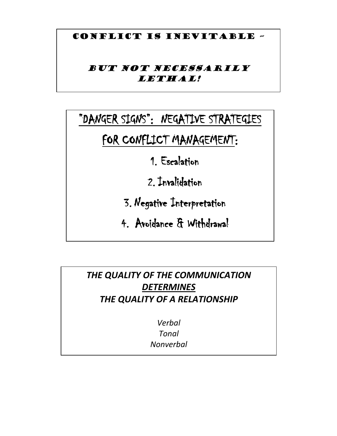### CONFLICT IS INEVITABLE –

## BUT NOT NECESSARILY LETHAL!

# "DANGER SIGNS": NEGATIVE STRATEGIES

## FOR CONFLICT MANAGEMENT:

1. Escalation

2. Invalidation

- 3. Negative Interpretation
- 4. Avoidance & Withdrawal

## *THE QUALITY OF THE COMMUNICATION DETERMINES THE QUALITY OF A RELATIONSHIP*

*Verbal Tonal Nonverbal*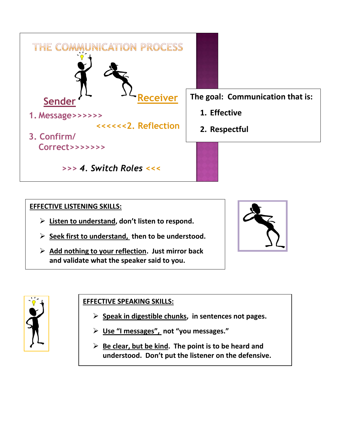

#### **EFFECTIVE LISTENING SKILLS:**

- **Listen to understand, don't listen to respond.**
- **Seek first to understand, then to be understood.**
- **Add nothing to your reflection. Just mirror back and validate what the speaker said to you.**





#### **EFFECTIVE SPEAKING SKILLS:**

- **Speak in digestible chunks, in sentences not pages.**
- **Use "I messages", not "you messages."**
- **Be clear, but be kind. The point is to be heard and understood. Don't put the listener on the defensive.**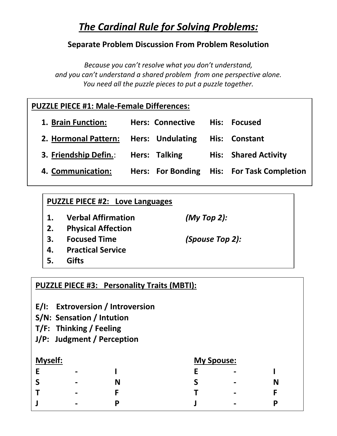## *The Cardinal Rule for Solving Problems:*

### **Separate Problem Discussion From Problem Resolution**

*Because you can't resolve what you don't understand, and you can't understand a shared problem from one perspective alone. You need all the puzzle pieces to put a puzzle together.*

## **PUZZLE PIECE #1: Male-Female Differences:**

| 1. Brain Function:                                  | Hers: Connective His: Focused |                                            |
|-----------------------------------------------------|-------------------------------|--------------------------------------------|
| 2. Hormonal Pattern: Hers: Undulating His: Constant |                               |                                            |
| 3. Friendship Defin.: Hers: Talking                 |                               | <b>His: Shared Activity</b>                |
| 4. Communication:                                   |                               | Hers: For Bonding His: For Task Completion |

## **PUZZLE PIECE #2: Love Languages**

**1. Verbal Affirmation** *(My Top 2):*

- **2. Physical Affection**
- **3. Focused Time** *(Spouse Top 2):*
- **4. Practical Service**
- **5. Gifts**

## **PUZZLE PIECE #3: Personality Traits (MBTI):**

- **E/I: Extroversion / Introversion**
- **S/N: Sensation / Intution**
- **T/F: Thinking / Feeling**
- **J/P: Judgment / Perception**

| <b>Myself:</b> |                 |   |   | <b>My Spouse:</b>        |   |  |  |
|----------------|-----------------|---|---|--------------------------|---|--|--|
|                | $\blacksquare$  |   |   | $\blacksquare$           |   |  |  |
| پ              | $\blacksquare$  | Ν | c | $\overline{\phantom{0}}$ | N |  |  |
|                | $\qquad \qquad$ |   |   | $\blacksquare$           |   |  |  |
|                | $\qquad \qquad$ |   |   | $\blacksquare$           | D |  |  |